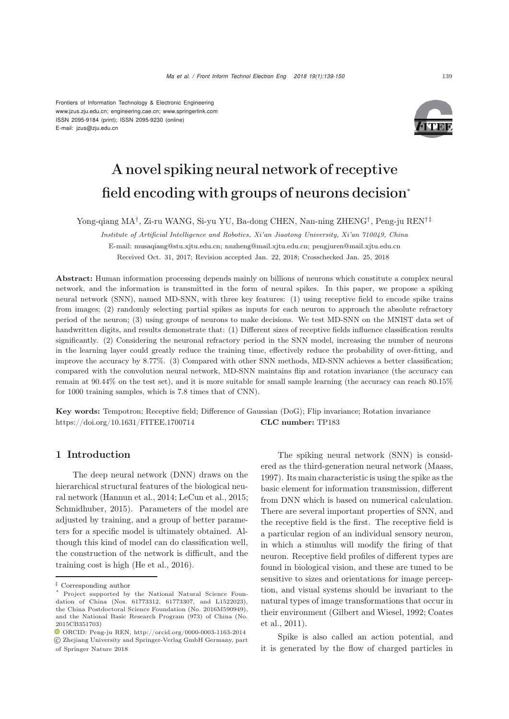Frontiers of Information Technology & Electronic Engineering [www.jzus.zju.edu.cn;](www.jzus.zju.edu.cn) [engineering.cae.cn;](engineering.cae.cn)<www.springerlink.com> ISSN 2095-9184 (print); ISSN 2095-9230 (online) E-mail: jzus@zju.edu.cn



# A novel spiking neural network of receptive field encoding with groups of neurons decision<sup>∗</sup>

Yong-qiang MA†, Zi-ru WANG, Si-yu YU, Ba-dong CHEN, Nan-ning ZHENG†, Peng-ju REN†‡

*Institute of Artificial Intelligence and Robotics, Xi'an Jiaotong University, Xi'an 710049, China* E-mail: musaqiang@stu.xjtu.edu.cn; nnzheng@mail.xjtu.edu.cn; pengjuren@mail.xjtu.edu.cn Received Oct. 31, 2017; Revision accepted Jan. 22, 2018; Crosschecked Jan. 25, 2018

Abstract: Human information processing depends mainly on billions of neurons which constitute a complex neural network, and the information is transmitted in the form of neural spikes. In this paper, we propose a spiking neural network (SNN), named MD-SNN, with three key features: (1) using receptive field to encode spike trains from images; (2) randomly selecting partial spikes as inputs for each neuron to approach the absolute refractory period of the neuron; (3) using groups of neurons to make decisions. We test MD-SNN on the MNIST data set of handwritten digits, and results demonstrate that: (1) Different sizes of receptive fields influence classification results significantly. (2) Considering the neuronal refractory period in the SNN model, increasing the number of neurons in the learning layer could greatly reduce the training time, effectively reduce the probability of over-fitting, and improve the accuracy by 8.77%. (3) Compared with other SNN methods, MD-SNN achieves a better classification; compared with the convolution neural network, MD-SNN maintains flip and rotation invariance (the accuracy can remain at 90*.*44% on the test set), and it is more suitable for small sample learning (the accuracy can reach 80*.*15% for 1000 training samples, which is 7.8 times that of CNN).

Key words: Tempotron; Receptive field; Difference of Gaussian (DoG); Flip invariance; Rotation invariance https://doi.org/10.1631/FITEE.1700714 CLC number: TP183

# 1 Introduction

The deep neural network (DNN) draws on the hierarchical structural features of the biological neural network [\(Hannun et al., 2014](#page-10-0); [LeCun et al.](#page-10-1), [2015;](#page-10-1) [Schmidhuber, 2015\)](#page-11-0). Parameters of the model are adjusted by training, and a group of better parameters for a specific model is ultimately obtained. Although this kind of model can do classification well, the construction of the network is difficult, and the training cost is high [\(He et al., 2016\)](#page-10-2).

The spiking neural network (SNN) is considered as the third-generation neural network [\(Maass](#page-11-1), [1997](#page-11-1)). Its main characteristic is using the spike as the basic element for information transmission, different from DNN which is based on numerical calculation. There are several important properties of SNN, and the receptive field is the first. The receptive field is a particular region of an individual sensory neuron, in which a stimulus will modify the firing of that neuron. Receptive field profiles of different types are found in biological vision, and these are tuned to be sensitive to sizes and orientations for image perception, and visual systems should be invariant to the natural types of image transformations that occur in their [environment](#page-10-4) [\(Gilbert and Wiesel](#page-10-3)[,](#page-10-4) [1992](#page-10-3)[;](#page-10-4) Coates et al., [2011\)](#page-10-4).

Spike is also called an action potential, and it is generated by the flow of charged particles in

*<sup>‡</sup>* Corresponding author

Project supported by the National Natural Science Foundation of China (Nos. 61773312, 61773307, and L1522023), the China Postdoctoral Science Foundation (No. 2016M590949), and the National Basic Research Program (973) of China (No. 2015CB351703)

ORCID: Peng-ju REN, http://orcid.org/0000-0003-1163-2014 c Zhejiang University and Springer-Verlag GmbH Germany, part of Springer Nature 2018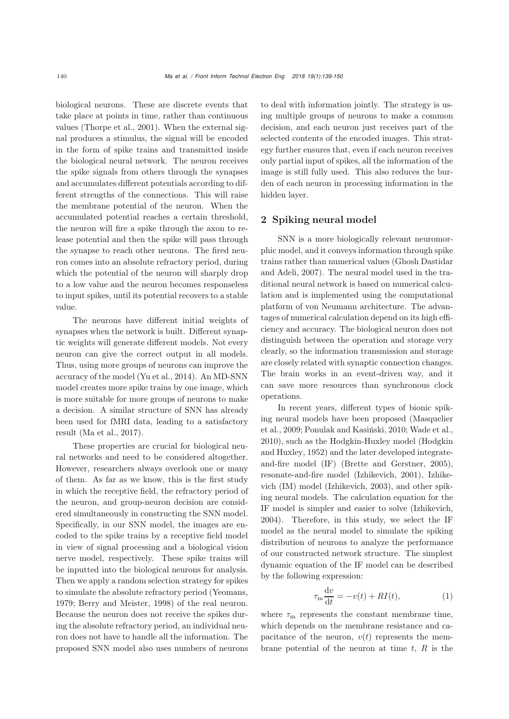biological neurons. These are discrete events that take place at points in time, rather than continuous values [\(Thorpe et al.](#page-11-2), [2001\)](#page-11-2). When the external signal produces a stimulus, the signal will be encoded in the form of spike trains and transmitted inside the biological neural network. The neuron receives the spike signals from others through the synapses and accumulates different potentials according to different strengths of the connections. This will raise the membrane potential of the neuron. When the accumulated potential reaches a certain threshold, the neuron will fire a spike through the axon to release potential and then the spike will pass through the synapse to reach other neurons. The fired neuron comes into an absolute refractory period, during which the potential of the neuron will sharply drop to a low value and the neuron becomes responseless to input spikes, until its potential recovers to a stable value.

The neurons have different initial weights of synapses when the network is built. Different synaptic weights will generate different models. Not every neuron can give the correct output in all models. Thus, using more groups of neurons can improve the accuracy of the model [\(Yu et al.](#page-11-3), [2014](#page-11-3)). An MD-SNN model creates more spike trains by one image, which is more suitable for more groups of neurons to make a decision. A similar structure of SNN has already been used for fMRI data, leading to a satisfactory result [\(Ma et al.](#page-11-4), [2017](#page-11-4)).

These properties are crucial for biological neural networks and need to be considered altogether. However, researchers always overlook one or many of them. As far as we know, this is the first study in which the receptive field, the refractory period of the neuron, and group-neuron decision are considered simultaneously in constructing the SNN model. Specifically, in our SNN model, the images are encoded to the spike trains by a receptive field model in view of signal processing and a biological vision nerve model, respectively. These spike trains will be inputted into the biological neurons for analysis. Then we apply a random selection strategy for spikes to simulate the absolute refractory period [\(Yeomans](#page-11-5), [1979](#page-11-5); [Berry and Meister](#page-10-5), [1998\)](#page-10-5) of the real neuron. Because the neuron does not receive the spikes during the absolute refractory period, an individual neuron does not have to handle all the information. The proposed SNN model also uses numbers of neurons

to deal with information jointly. The strategy is using multiple groups of neurons to make a common decision, and each neuron just receives part of the selected contents of the encoded images. This strategy further ensures that, even if each neuron receives only partial input of spikes, all the information of the image is still fully used. This also reduces the burden of each neuron in processing information in the hidden layer.

# 2 Spiking neural model

SNN is a more biologically relevant neuromorphic model, and it conveys information through spike trains rat[her](#page-10-6) [than](#page-10-6) [numerical](#page-10-6) [values](#page-10-6) [\(](#page-10-6)Ghosh Dastidar and Adeli, [2007\)](#page-10-6). The neural model used in the traditional neural network is based on numerical calculation and is implemented using the computational platform of von Neumann architecture. The advantages of numerical calculation depend on its high efficiency and accuracy. The biological neuron does not distinguish between the operation and storage very clearly, so the information transmission and storage are closely related with synaptic connection changes. The brain works in an event-driven way, and it can save more resources than synchronous clock operations.

In recent years, different types of bionic spiking [neural](#page-11-6) [models](#page-11-6) [have](#page-11-6) [been](#page-11-6) [proposed](#page-11-6) [\(](#page-11-6)Masquelier et al., [2009](#page-11-6); [Ponulak and Kasiński, 2010;](#page-11-7) [Wade et al.](#page-11-8), [2010](#page-11-8)), such [as](#page-10-7) [the](#page-10-7) [Hodgkin-Huxley](#page-10-7) [model](#page-10-7) [\(](#page-10-7)Hodgkin and Huxley, [1952\)](#page-10-7) and the later developed integrateand-fire model (IF) [\(Brette and Gerstner](#page-10-8), [2005\)](#page-10-8), resonate-and-fire model [\(Izhikevich](#page-10-9), [2001](#page-10-9)), Izhikevich (IM) model [\(Izhikevich](#page-10-10), [2003\)](#page-10-10), and other spiking neural models. The calculation equation for the IF model is simpler and easier to solve [\(Izhikevich](#page-10-11), [2004](#page-10-11)). Therefore, in this study, we select the IF model as the neural model to simulate the spiking distribution of neurons to analyze the performance of our constructed network structure. The simplest dynamic equation of the IF model can be described by the following expression:

$$
\tau_{\rm m} \frac{\mathrm{d}v}{\mathrm{d}t} = -v(t) + RI(t),\tag{1}
$$

where  $\tau_{\rm m}$  represents the constant membrane time, which depends on the membrane resistance and capacitance of the neuron,  $v(t)$  represents the membrane potential of the neuron at time  $t, R$  is the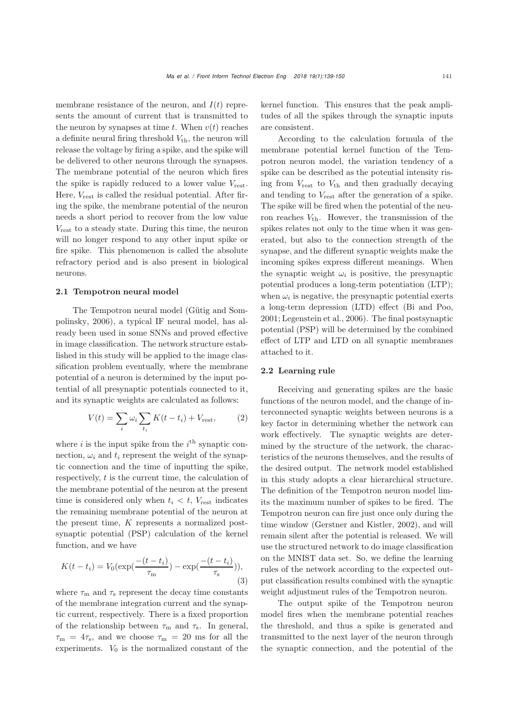membrane resistance of the neuron, and  $I(t)$  represents the amount of current that is transmitted to the neuron by synapses at time t. When  $v(t)$  reaches a definite neural firing threshold  $V_{th}$ , the neuron will release the voltage by firing a spike, and the spike will be delivered to other neurons through the synapses. The membrane potential of the neuron which fires the spike is rapidly reduced to a lower value  $V_{\text{rest}}$ . Here,  $V_{\text{rest}}$  is called the residual potential. After firing the spike, the membrane potential of the neuron needs a short period to recover from the low value  $V_{\text{rest}}$  to a steady state. During this time, the neuron will no longer respond to any other input spike or fire spike. This phenomenon is called the absolute refractory period and is also present in biological neurons.

#### 2.1 Tempotron neural model

Th[e](#page-10-12) [Tempotron](#page-10-12) [neural](#page-10-12) [model](#page-10-12) [\(](#page-10-12)Gütig and Sompolinsky, [2006\)](#page-10-12), a typical IF neural model, has already been used in some SNNs and proved effective in image classification. The network structure established in this study will be applied to the image classification problem eventually, where the membrane potential of a neuron is determined by the input potential of all presynaptic potentials connected to it, and its synaptic weights are calculated as follows:

$$
V(t) = \sum_{i} \omega_i \sum_{t_i} K(t - t_i) + V_{\text{rest}}, \qquad (2)
$$

where  $i$  is the input spike from the  $i<sup>th</sup>$  synaptic connection,  $\omega_i$  and  $t_i$  represent the weight of the synaptic connection and the time of inputting the spike, respectively,  $t$  is the current time, the calculation of the membrane potential of the neuron at the present time is considered only when  $t_i < t$ ,  $V_{\text{rest}}$  indicates the remaining membrane potential of the neuron at the present time,  $K$  represents a normalized postsynaptic potential (PSP) calculation of the kernel function, and we have

$$
K(t - t_i) = V_0(\exp(\frac{-(t - t_i)}{\tau_m}) - \exp(\frac{-(t - t_i)}{\tau_s})),
$$
\n(3)

where  $\tau_{\rm m}$  and  $\tau_{\rm s}$  represent the decay time constants of the membrane integration current and the synaptic current, respectively. There is a fixed proportion of the relationship between  $\tau_{m}$  and  $\tau_{s}$ . In general,  $\tau_{\rm m} = 4\tau_{\rm s}$ , and we choose  $\tau_{\rm m} = 20$  ms for all the experiments.  $V_0$  is the normalized constant of the

kernel function. This ensures that the peak amplitudes of all the spikes through the synaptic inputs are consistent.

According to the calculation formula of the membrane potential kernel function of the Tempotron neuron model, the variation tendency of a spike can be described as the potential intensity rising from  $V_{\text{rest}}$  to  $V_{\text{th}}$  and then gradually decaying and tending to  $V_{\text{rest}}$  after the generation of a spike. The spike will be fired when the potential of the neuron reaches  $V_{\text{th}}$ . However, the transmission of the spikes relates not only to the time when it was generated, but also to the connection strength of the synapse, and the different synaptic weights make the incoming spikes express different meanings. When the synaptic weight  $\omega_i$  is positive, the presynaptic potential produces a long-term potentiation (LTP); when  $\omega_i$  is negative, the presynaptic potential exerts a long-term depression (LTD) effect [\(Bi and Poo](#page-10-13), [2001](#page-10-13); [Legenstein et al.](#page-11-9), [2006\)](#page-11-9). The final postsynaptic potential (PSP) will be determined by the combined effect of LTP and LTD on all synaptic membranes attached to it.

## 2.2 Learning rule

Receiving and generating spikes are the basic functions of the neuron model, and the change of interconnected synaptic weights between neurons is a key factor in determining whether the network can work effectively. The synaptic weights are determined by the structure of the network, the characteristics of the neurons themselves, and the results of the desired output. The network model established in this study adopts a clear hierarchical structure. The definition of the Tempotron neuron model limits the maximum number of spikes to be fired. The Tempotron neuron can fire just once only during the time window [\(Gerstner and Kistler, 2002](#page-10-14)), and will remain silent after the potential is released. We will use the structured network to do image classification on the MNIST data set. So, we define the learning rules of the network according to the expected output classification results combined with the synaptic weight adjustment rules of the Tempotron neuron.

The output spike of the Tempotron neuron model fires when the membrane potential reaches the threshold, and thus a spike is generated and transmitted to the next layer of the neuron through the synaptic connection, and the potential of the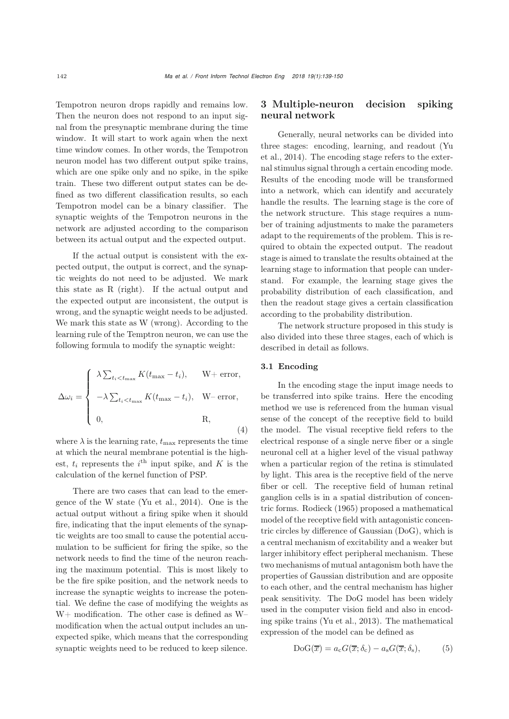Tempotron neuron drops rapidly and remains low. Then the neuron does not respond to an input signal from the presynaptic membrane during the time window. It will start to work again when the next time window comes. In other words, the Tempotron neuron model has two different output spike trains, which are one spike only and no spike, in the spike train. These two different output states can be defined as two different classification results, so each Tempotron model can be a binary classifier. The synaptic weights of the Tempotron neurons in the network are adjusted according to the comparison between its actual output and the expected output.

If the actual output is consistent with the expected output, the output is correct, and the synaptic weights do not need to be adjusted. We mark this state as R (right). If the actual output and the expected output are inconsistent, the output is wrong, and the synaptic weight needs to be adjusted. We mark this state as W (wrong). According to the learning rule of the Temptron neuron, we can use the following formula to modify the synaptic weight:

$$
\Delta \omega_i = \begin{cases}\n\lambda \sum_{t_i < t_{\text{max}}} K(t_{\text{max}} - t_i), & \text{W+ error,} \\
-\lambda \sum_{t_i < t_{\text{max}}} K(t_{\text{max}} - t_i), & \text{W- error,} \\
0, & \text{R,} \\
\end{cases}
$$
\n
$$
(4)
$$

where  $\lambda$  is the learning rate,  $t_{\text{max}}$  represents the time at which the neural membrane potential is the highest,  $t_i$  represents the  $i^{\text{th}}$  input spike, and K is the calculation of the kernel function of PSP.

There are two cases that can lead to the emergence of the W state [\(Yu et al.](#page-11-3), [2014](#page-11-3)). One is the actual output without a firing spike when it should fire, indicating that the input elements of the synaptic weights are too small to cause the potential accumulation to be sufficient for firing the spike, so the network needs to find the time of the neuron reaching the maximum potential. This is most likely to be the fire spike position, and the network needs to increase the synaptic weights to increase the potential. We define the case of modifying the weights as W+ modification. The other case is defined as W– modification when the actual output includes an unexpected spike, which means that the corresponding synaptic weights need to be reduced to keep silence.

# 3 Multiple-neuron decision spiking neural network

Generally, neural networks can be divided into thre[e](#page-11-3) [stages:](#page-11-3) [encoding,](#page-11-3) [learning,](#page-11-3) [and](#page-11-3) [readout](#page-11-3) [\(](#page-11-3)Yu et al., [2014\)](#page-11-3). The encoding stage refers to the external stimulus signal through a certain encoding mode. Results of the encoding mode will be transformed into a network, which can identify and accurately handle the results. The learning stage is the core of the network structure. This stage requires a number of training adjustments to make the parameters adapt to the requirements of the problem. This is required to obtain the expected output. The readout stage is aimed to translate the results obtained at the learning stage to information that people can understand. For example, the learning stage gives the probability distribution of each classification, and then the readout stage gives a certain classification according to the probability distribution.

The network structure proposed in this study is also divided into these three stages, each of which is described in detail as follows.

## 3.1 Encoding

In the encoding stage the input image needs to be transferred into spike trains. Here the encoding method we use is referenced from the human visual sense of the concept of the receptive field to build the model. The visual receptive field refers to the electrical response of a single nerve fiber or a single neuronal cell at a higher level of the visual pathway when a particular region of the retina is stimulated by light. This area is the receptive field of the nerve fiber or cell. The receptive field of human retinal ganglion cells is in a spatial distribution of concentric forms. [Rodieck](#page-11-10) [\(1965](#page-11-10)) proposed a mathematical model of the receptive field with antagonistic concentric circles by difference of Gaussian (DoG), which is a central mechanism of excitability and a weaker but larger inhibitory effect peripheral mechanism. These two mechanisms of mutual antagonism both have the properties of Gaussian distribution and are opposite to each other, and the central mechanism has higher peak sensitivity. The DoG model has been widely used in the computer vision field and also in encoding spike trains [\(Yu et al.](#page-11-11), [2013](#page-11-11)). The mathematical expression of the model can be defined as

$$
DoG(\overline{x}) = a_c G(\overline{x}; \delta_c) - a_s G(\overline{x}; \delta_s),
$$
 (5)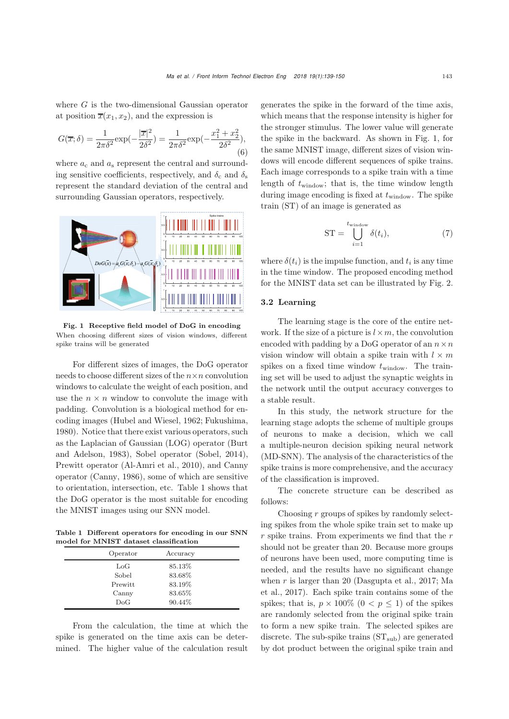where G is the two-dimensional Gaussian operator at position  $\overline{x}(x_1, x_2)$ , and the expression is

$$
G(\overline{x};\delta) = \frac{1}{2\pi\delta^2} \exp(-\frac{|\overline{x}|^2}{2\delta^2}) = \frac{1}{2\pi\delta^2} \exp(-\frac{x_1^2 + x_2^2}{2\delta^2}),
$$
\n(6)

where  $a_c$  and  $a_s$  represent the central and surrounding sensitive coefficients, respectively, and  $\delta_c$  and  $\delta_s$ represent the standard deviation of the central and surrounding Gaussian operators, respectively.



<span id="page-4-1"></span>Fig. 1 Receptive field model of DoG in encoding When choosing different sizes of vision windows, different spike trains will be generated

For different sizes of images, the DoG operator needs to choose different sizes of the  $n \times n$  convolution windows to calculate the weight of each position, and use the  $n \times n$  window to convolute the image with padding. Convolution is a biological method for encoding images [\(Hubel and Wiesel, 1962;](#page-10-15) [Fukushima](#page-10-16), [1980](#page-10-16)). Notice that there exist various operators, such as the Lapla[cian](#page-10-17) [of](#page-10-17) [Gaussian](#page-10-17) [\(LOG\)](#page-10-17) [operator](#page-10-17) [\(](#page-10-17)Burt and Adelson, [1983\)](#page-10-17), Sobel operator [\(Sobel](#page-11-12), [2014\)](#page-11-12), Prewitt operator [\(Al-Amri et al., 2010\)](#page-10-18), and Canny operator [\(Canny](#page-10-19), [1986](#page-10-19)), some of which are sensitive to orientation, intersection, etc. Table [1](#page-4-0) shows that the DoG operator is the most suitable for encoding the MNIST images using our SNN model.

Table 1 Different operators for encoding in our SNN model for MNIST dataset classification

<span id="page-4-0"></span>

| Operator     | Accuracy |  |
|--------------|----------|--|
| $_{\rm LoG}$ | 85.13%   |  |
| Sobel        | 83.68%   |  |
| Prewitt      | 83.19%   |  |
| Canny        | 83.65%   |  |
| DoG          | 90.44\%  |  |

From the calculation, the time at which the spike is generated on the time axis can be determined. The higher value of the calculation result generates the spike in the forward of the time axis, which means that the response intensity is higher for the stronger stimulus. The lower value will generate the spike in the backward. As shown in Fig. [1,](#page-4-1) for the same MNIST image, different sizes of vision windows will encode different sequences of spike trains. Each image corresponds to a spike train with a time length of  $t_{\text{window}}$ ; that is, the time window length during image encoding is fixed at  $t_{\text{window}}$ . The spike train (ST) of an image is generated as

$$
ST = \bigcup_{i=1}^{t_{\text{window}}} \delta(t_i),\tag{7}
$$

where  $\delta(t_i)$  is the impulse function, and  $t_i$  is any time in the time window. The proposed encoding method for the MNIST data set can be illustrated by Fig. [2.](#page-5-0)

## 3.2 Learning

The learning stage is the core of the entire network. If the size of a picture is  $l \times m$ , the convolution encoded with padding by a DoG operator of an  $n \times n$ vision window will obtain a spike train with  $l \times m$ spikes on a fixed time window  $t_{\text{window}}$ . The training set will be used to adjust the synaptic weights in the network until the output accuracy converges to a stable result.

In this study, the network structure for the learning stage adopts the scheme of multiple groups of neurons to make a decision, which we call a multiple-neuron decision spiking neural network (MD-SNN). The analysis of the characteristics of the spike trains is more comprehensive, and the accuracy of the classification is improved.

The concrete structure can be described as follows:

Choosing  $r$  groups of spikes by randomly selecting spikes from the whole spike train set to make up  $r$  spike trains. From experiments we find that the  $r$ should not be greater than 20. Because more groups of neurons have been used, more computing time is needed, and the results have no significant change when  $r$  [is](#page-11-4) [larger](#page-11-4) [than](#page-11-4) [20](#page-11-4) [\(Dasgupta et al.](#page-10-20)[,](#page-11-4) [2017](#page-10-20)[;](#page-11-4) Ma et al., [2017\)](#page-11-4). Each spike train contains some of the spikes; that is,  $p \times 100\%$   $(0 \lt p \lt 1)$  of the spikes are randomly selected from the original spike train to form a new spike train. The selected spikes are discrete. The sub-spike trains  $(ST_{sub})$  are generated by dot product between the original spike train and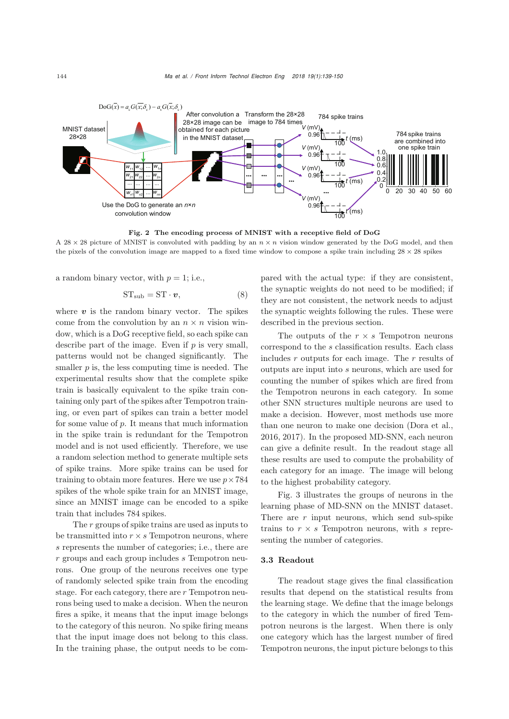

Fig. 2 The encoding process of MNIST with a receptive field of DoG A 28  $\times$  28 picture of MNIST is convoluted with padding by an  $n \times n$  vision window generated by the DoG model, and then the pixels of the convolution image are mapped to a fixed time window to compose a spike train including  $28 \times 28$  spikes

a random binary vector, with  $p = 1$ ; i.e.,

<span id="page-5-0"></span>
$$
ST_{sub} = ST \cdot \boldsymbol{v},\tag{8}
$$

where  $v$  is the random binary vector. The spikes come from the convolution by an  $n \times n$  vision window, which is a DoG receptive field, so each spike can describe part of the image. Even if  $p$  is very small, patterns would not be changed significantly. The smaller  $p$  is, the less computing time is needed. The experimental results show that the complete spike train is basically equivalent to the spike train containing only part of the spikes after Tempotron training, or even part of spikes can train a better model for some value of  $p$ . It means that much information in the spike train is redundant for the Tempotron model and is not used efficiently. Therefore, we use a random selection method to generate multiple sets of spike trains. More spike trains can be used for training to obtain more features. Here we use  $p \times 784$ spikes of the whole spike train for an MNIST image, since an MNIST image can be encoded to a spike train that includes 784 spikes.

The r groups of spike trains are used as inputs to be transmitted into  $r \times s$  Tempotron neurons, where s represents the number of categories; i.e., there are  $r$  groups and each group includes  $s$  Tempotron neurons. One group of the neurons receives one type of randomly selected spike train from the encoding stage. For each category, there are r Tempotron neurons being used to make a decision. When the neuron fires a spike, it means that the input image belongs to the category of this neuron. No spike firing means that the input image does not belong to this class. In the training phase, the output needs to be compared with the actual type: if they are consistent, the synaptic weights do not need to be modified; if they are not consistent, the network needs to adjust the synaptic weights following the rules. These were described in the previous section.

The outputs of the  $r \times s$  Tempotron neurons correspond to the s classification results. Each class includes r outputs for each image. The r results of outputs are input into s neurons, which are used for counting the number of spikes which are fired from the Tempotron neurons in each category. In some other SNN structures multiple neurons are used to make a decision. However, most methods use more than one neuron to make one decision [\(Dora et al.](#page-10-21), [2016](#page-10-21), [2017\)](#page-10-22). In the proposed MD-SNN, each neuron can give a definite result. In the readout stage all these results are used to compute the probability of each category for an image. The image will belong to the highest probability category.

Fig. [3](#page-6-0) illustrates the groups of neurons in the learning phase of MD-SNN on the MNIST dataset. There are  $r$  input neurons, which send sub-spike trains to  $r \times s$  Tempotron neurons, with s representing the number of categories.

#### 3.3 Readout

The readout stage gives the final classification results that depend on the statistical results from the learning stage. We define that the image belongs to the category in which the number of fired Tempotron neurons is the largest. When there is only one category which has the largest number of fired Tempotron neurons, the input picture belongs to this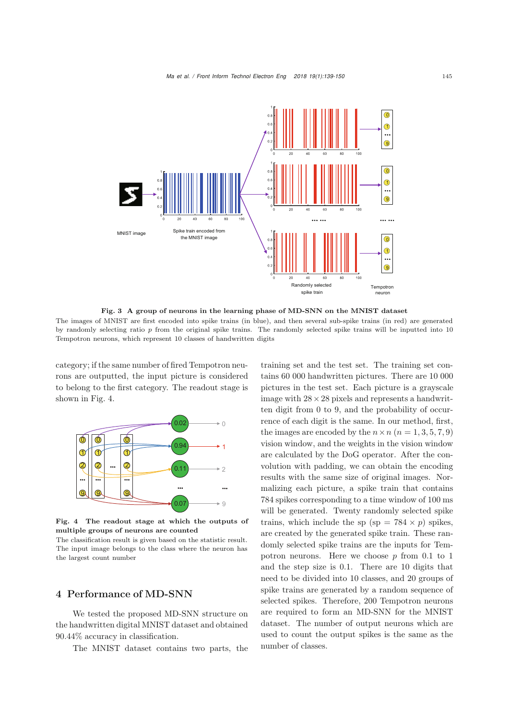

<span id="page-6-0"></span>Fig. 3 A group of neurons in the learning phase of MD-SNN on the MNIST dataset

The images of MNIST are first encoded into spike trains (in blue), and then several sub-spike trains (in red) are generated by randomly selecting ratio *p* from the original spike trains. The randomly selected spike trains will be inputted into 10 Tempotron neurons, which represent 10 classes of handwritten digits

category; if the same number of fired Tempotron neurons are outputted, the input picture is considered to belong to the first category. The readout stage is shown in Fig. [4.](#page-6-1)



<span id="page-6-1"></span>Fig. 4 The readout stage at which the outputs of multiple groups of neurons are counted

The classification result is given based on the statistic result. The input image belongs to the class where the neuron has the largest count number

# 4 Performance of MD-SNN

We tested the proposed MD-SNN structure on the handwritten digital MNIST dataset and obtained 90.44% accuracy in classification.

The MNIST dataset contains two parts, the

training set and the test set. The training set contains 60 000 handwritten pictures. There are 10 000 pictures in the test set. Each picture is a grayscale image with  $28 \times 28$  pixels and represents a handwritten digit from 0 to 9, and the probability of occurrence of each digit is the same. In our method, first, the images are encoded by the  $n \times n$  ( $n = 1, 3, 5, 7, 9$ ) vision window, and the weights in the vision window are calculated by the DoG operator. After the convolution with padding, we can obtain the encoding results with the same size of original images. Normalizing each picture, a spike train that contains 784 spikes corresponding to a time window of 100 ms will be generated. Twenty randomly selected spike trains, which include the sp (sp =  $784 \times p$ ) spikes, are created by the generated spike train. These randomly selected spike trains are the inputs for Tempotron neurons. Here we choose  $p$  from 0.1 to 1 and the step size is 0.1. There are 10 digits that need to be divided into 10 classes, and 20 groups of spike trains are generated by a random sequence of selected spikes. Therefore, 200 Tempotron neurons are required to form an MD-SNN for the MNIST dataset. The number of output neurons which are used to count the output spikes is the same as the number of classes.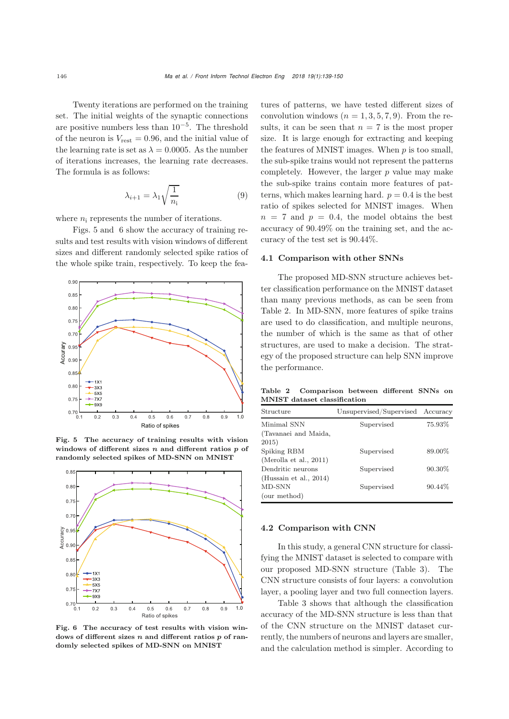Twenty iterations are performed on the training set. The initial weights of the synaptic connections are positive numbers less than  $10^{-5}$ . The threshold of the neuron is  $V_{\text{rest}} = 0.96$ , and the initial value of the learning rate is set as  $\lambda = 0.0005$ . As the number of iterations increases, the learning rate decreases. The formula is as follows:

$$
\lambda_{i+1} = \lambda_1 \sqrt{\frac{1}{n_i}}\tag{9}
$$

where  $n_i$  represents the number of iterations.

Figs. [5](#page-7-0) and [6](#page-7-1) show the accuracy of training results and test results with vision windows of different sizes and different randomly selected spike ratios of the whole spike train, respectively. To keep the fea-



<span id="page-7-0"></span>Fig. 5 The accuracy of training results with vision windows of different sizes *n* and different ratios *p* of randomly selected spikes of MD-SNN on MNIST



<span id="page-7-1"></span>Fig. 6 The accuracy of test results with vision windows of different sizes *n* and different ratios *p* of randomly selected spikes of MD-SNN on MNIST

tures of patterns, we have tested different sizes of convolution windows  $(n = 1, 3, 5, 7, 9)$ . From the results, it can be seen that  $n = 7$  is the most proper size. It is large enough for extracting and keeping the features of MNIST images. When  $p$  is too small, the sub-spike trains would not represent the patterns completely. However, the larger  $p$  value may make the sub-spike trains contain more features of patterns, which makes learning hard.  $p = 0.4$  is the best ratio of spikes selected for MNIST images. When  $n = 7$  and  $p = 0.4$ , the model obtains the best accuracy of 90.49% on the training set, and the accuracy of the test set is 90.44%.

### 4.1 Comparison with other SNNs

The proposed MD-SNN structure achieves better classification performance on the MNIST dataset than many previous methods, as can be seen from Table [2.](#page-7-2) In MD-SNN, more features of spike trains are used to do classification, and multiple neurons, the number of which is the same as that of other structures, are used to make a decision. The strategy of the proposed structure can help SNN improve the performance.

<span id="page-7-2"></span>Table 2 Comparison between different SNNs on MNIST dataset classification

| Structure                 | Unsupervised/Supervised Accuracy |         |  |
|---------------------------|----------------------------------|---------|--|
| Minimal SNN               | Supervised                       | 75.93%  |  |
| (Tavanaei and Maida,      |                                  |         |  |
| 2015)                     |                                  |         |  |
| Spiking RBM               | Supervised                       | 89.00%  |  |
| (Merolla et al., $2011$ ) |                                  |         |  |
| Dendritic neurons         | Supervised                       | 90.30%  |  |
| (Hussain et al., $2014$ ) |                                  |         |  |
| MD-SNN                    | Supervised                       | 90.44\% |  |
| (our method)              |                                  |         |  |
|                           |                                  |         |  |

## 4.2 Comparison with CNN

In this study, a general CNN structure for classifying the MNIST dataset is selected to compare with our proposed MD-SNN structure (Table [3\)](#page-8-0). The CNN structure consists of four layers: a convolution layer, a pooling layer and two full connection layers.

Table [3](#page-8-0) shows that although the classification accuracy of the MD-SNN structure is less than that of the CNN structure on the MNIST dataset currently, the numbers of neurons and layers are smaller, and the calculation method is simpler. According to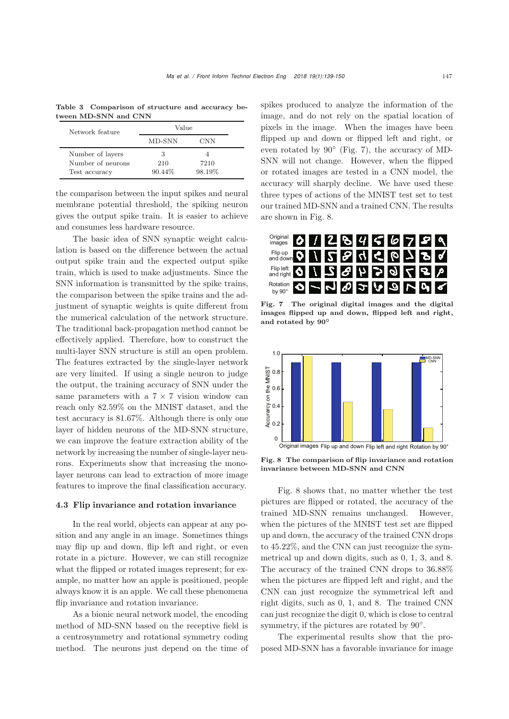Table 3 Comparison of structure and accuracy between MD-SNN and CNN

<span id="page-8-0"></span>

| Network feature   | Value   |        |  |
|-------------------|---------|--------|--|
|                   | MD-SNN  | CNN    |  |
| Number of layers  | 3       |        |  |
| Number of neurons | 210     | 7210   |  |
| Test accuracy     | 90.44\% | 98.19% |  |

the comparison between the input spikes and neural membrane potential threshold, the spiking neuron gives the output spike train. It is easier to achieve and consumes less hardware resource.

The basic idea of SNN synaptic weight calculation is based on the difference between the actual output spike train and the expected output spike train, which is used to make adjustments. Since the SNN information is transmitted by the spike trains, the comparison between the spike trains and the adjustment of synaptic weights is quite different from the numerical calculation of the network structure. The traditional back-propagation method cannot be effectively applied. Therefore, how to construct the multi-layer SNN structure is still an open problem. The features extracted by the single-layer network are very limited. If using a single neuron to judge the output, the training accuracy of SNN under the same parameters with a  $7 \times 7$  vision window can reach only 82.59% on the MNIST dataset, and the test accuracy is 81.67%. Although there is only one layer of hidden neurons of the MD-SNN structure, we can improve the feature extraction ability of the network by increasing the number of single-layer neurons. Experiments show that increasing the monolayer neurons can lead to extraction of more image features to improve the final classification accuracy.

#### 4.3 Flip invariance and rotation invariance

In the real world, objects can appear at any position and any angle in an image. Sometimes things may flip up and down, flip left and right, or even rotate in a picture. However, we can still recognize what the flipped or rotated images represent; for example, no matter how an apple is positioned, people always know it is an apple. We call these phenomena flip invariance and rotation invariance.

As a bionic neural network model, the encoding method of MD-SNN based on the receptive field is a centrosymmetry and rotational symmetry coding method. The neurons just depend on the time of spikes produced to analyze the information of the image, and do not rely on the spatial location of pixels in the image. When the images have been flipped up and down or flipped left and right, or even rotated by  $90°$  (Fig. [7\)](#page-8-1), the accuracy of MD-SNN will not change. However, when the flipped or rotated images are tested in a CNN model, the accuracy will sharply decline. We have used these three types of actions of the MNIST test set to test our trained MD-SNN and a trained CNN. The results are shown in Fig. [8.](#page-8-2)



<span id="page-8-1"></span>Fig. 7 The original digital images and the digital images flipped up and down, flipped left and right, and rotated by **90***◦*



<span id="page-8-2"></span>Fig. 8 The comparison of flip invariance and rotation invariance between MD-SNN and CNN

Fig. [8](#page-8-2) shows that, no matter whether the test pictures are flipped or rotated, the accuracy of the trained MD-SNN remains unchanged. However, when the pictures of the MNIST test set are flipped up and down, the accuracy of the trained CNN drops to 45.22%, and the CNN can just recognize the symmetrical up and down digits, such as 0, 1, 3, and 8. The accuracy of the trained CNN drops to 36.88% when the pictures are flipped left and right, and the CNN can just recognize the symmetrical left and right digits, such as 0, 1, and 8. The trained CNN can just recognize the digit 0, which is close to central symmetry, if the pictures are rotated by 90°.

The experimental results show that the proposed MD-SNN has a favorable invariance for image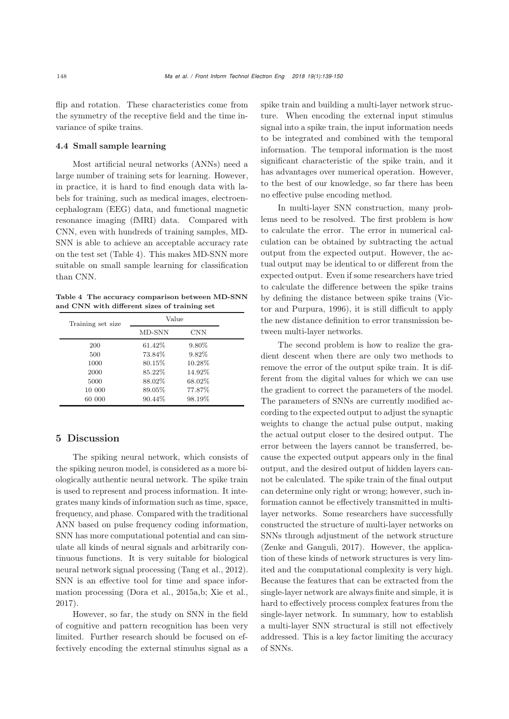flip and rotation. These characteristics come from the symmetry of the receptive field and the time invariance of spike trains.

## 4.4 Small sample learning

Most artificial neural networks (ANNs) need a large number of training sets for learning. However, in practice, it is hard to find enough data with labels for training, such as medical images, electroencephalogram (EEG) data, and functional magnetic resonance imaging (fMRI) data. Compared with CNN, even with hundreds of training samples, MD-SNN is able to achieve an acceptable accuracy rate on the test set (Table [4\)](#page-9-0). This makes MD-SNN more suitable on small sample learning for classification than CNN.

<span id="page-9-0"></span>Table 4 The accuracy comparison between MD-SNN and CNN with different sizes of training set

| Training set size | Value   |            |  |
|-------------------|---------|------------|--|
|                   | MD-SNN  | <b>CNN</b> |  |
| 200               | 61.42\% | 9.80%      |  |
| 500               | 73.84%  | 9.82%      |  |
| 1000              | 80.15%  | 10.28%     |  |
| 2000              | 85.22%  | 14.92%     |  |
| 5000              | 88.02%  | 68.02%     |  |
| 10 000            | 89.05%  | 77.87%     |  |
| 60 000            | 90.44%  | 98.19%     |  |

# 5 Discussion

The spiking neural network, which consists of the spiking neuron model, is considered as a more biologically authentic neural network. The spike train is used to represent and process information. It integrates many kinds of information such as time, space, frequency, and phase. Compared with the traditional ANN based on pulse frequency coding information, SNN has more computational potential and can simulate all kinds of neural signals and arbitrarily continuous functions. It is very suitable for biological neural network signal processing [\(Tang et al.](#page-11-13), [2012\)](#page-11-13). SNN is an effective tool for time and space information processing [\(Dora et al.](#page-10-23), [2015a](#page-10-23)[,b;](#page-10-24) [Xie et al.](#page-11-14), [2017](#page-11-14)).

However, so far, the study on SNN in the field of cognitive and pattern recognition has been very limited. Further research should be focused on effectively encoding the external stimulus signal as a

spike train and building a multi-layer network structure. When encoding the external input stimulus signal into a spike train, the input information needs to be integrated and combined with the temporal information. The temporal information is the most significant characteristic of the spike train, and it has advantages over numerical operation. However, to the best of our knowledge, so far there has been no effective pulse encoding method.

In multi-layer SNN construction, many problems need to be resolved. The first problem is how to calculate the error. The error in numerical calculation can be obtained by subtracting the actual output from the expected output. However, the actual output may be identical to or different from the expected output. Even if some researchers have tried to calculate the difference between the spike trains by defining the [distance](#page-11-15) [between](#page-11-15) [spike](#page-11-15) [trains](#page-11-15) [\(](#page-11-15)Victor and Purpura, [1996\)](#page-11-15), it is still difficult to apply the new distance definition to error transmission between multi-layer networks.

The second problem is how to realize the gradient descent when there are only two methods to remove the error of the output spike train. It is different from the digital values for which we can use the gradient to correct the parameters of the model. The parameters of SNNs are currently modified according to the expected output to adjust the synaptic weights to change the actual pulse output, making the actual output closer to the desired output. The error between the layers cannot be transferred, because the expected output appears only in the final output, and the desired output of hidden layers cannot be calculated. The spike train of the final output can determine only right or wrong; however, such information cannot be effectively transmitted in multilayer networks. Some researchers have successfully constructed the structure of multi-layer networks on SNNs through adjustment of the network structure [\(Zenke and Ganguli](#page-11-16), [2017](#page-11-16)). However, the application of these kinds of network structures is very limited and the computational complexity is very high. Because the features that can be extracted from the single-layer network are always finite and simple, it is hard to effectively process complex features from the single-layer network. In summary, how to establish a multi-layer SNN structural is still not effectively addressed. This is a key factor limiting the accuracy of SNNs.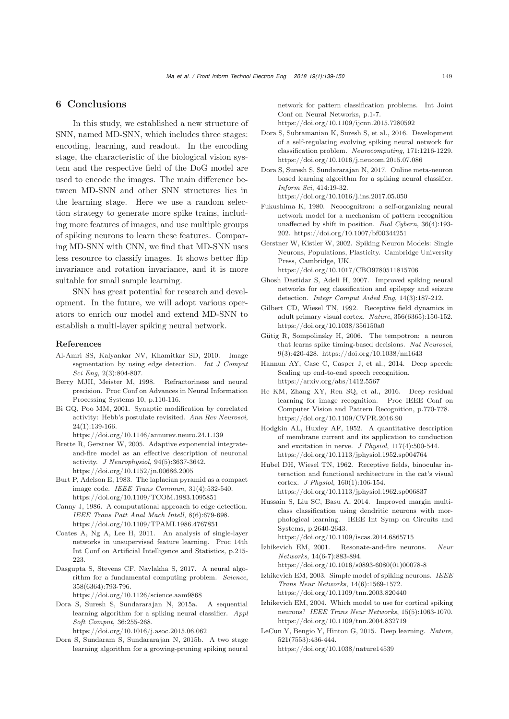# 6 Conclusions

In this study, we established a new structure of SNN, named MD-SNN, which includes three stages: encoding, learning, and readout. In the encoding stage, the characteristic of the biological vision system and the respective field of the DoG model are used to encode the images. The main difference between MD-SNN and other SNN structures lies in the learning stage. Here we use a random selection strategy to generate more spike trains, including more features of images, and use multiple groups of spiking neurons to learn these features. Comparing MD-SNN with CNN, we find that MD-SNN uses less resource to classify images. It shows better flip invariance and rotation invariance, and it is more suitable for small sample learning.

SNN has great potential for research and development. In the future, we will adopt various operators to enrich our model and extend MD-SNN to establish a multi-layer spiking neural network.

#### References

- <span id="page-10-18"></span>Al-Amri SS, Kalyankar NV, Khamitkar SD, 2010. Image segmentation by using edge detection. *Int J Comput Sci Eng*, 2(3):804-807.
- <span id="page-10-5"></span>Berry MJII, Meister M, 1998. Refractoriness and neural precision. Proc Conf on Advances in Neural Information Processing Systems 10, p.110-116.
- <span id="page-10-13"></span>Bi GQ, Poo MM, 2001. Synaptic modification by correlated activity: Hebb's postulate revisited. *Ann Rev Neurosci*, 24(1):139-166.
- https://doi.org/10.1146/annurev.neuro.24.1.139 Brette R, Gerstner W, 2005. Adaptive exponential integrate-
- <span id="page-10-8"></span>and-fire model as an effective description of neuronal activity. *J Neurophysiol*, 94(5):3637-3642. https://doi.org/10.1152/jn.00686.2005
- <span id="page-10-17"></span>Burt P, Adelson E, 1983. The laplacian pyramid as a compact image code. *IEEE Trans Commun*, 31(4):532-540. https://doi.org/10.1109/TCOM.1983.1095851
- <span id="page-10-19"></span>Canny J, 1986. A computational approach to edge detection. *IEEE Trans Patt Anal Mach Intell*, 8(6):679-698. https://doi.org/10.1109/TPAMI.1986.4767851
- <span id="page-10-4"></span>Coates A, Ng A, Lee H, 2011. An analysis of single-layer networks in unsupervised feature learning. Proc 14th Int Conf on Artificial Intelligence and Statistics, p.215- 223.
- <span id="page-10-20"></span>Dasgupta S, Stevens CF, Navlakha S, 2017. A neural algorithm for a fundamental computing problem. *Science*, 358(6364):793-796. https://doi.org/10.1126/science.aam9868
- <span id="page-10-23"></span>Dora S, Suresh S, Sundararajan N, 2015a. A sequential learning algorithm for a spiking neural classifier. *Appl Soft Comput*, 36:255-268.

https://doi.org/10.1016/j.asoc.2015.06.062

<span id="page-10-24"></span>Dora S, Sundaram S, Sundararajan N, 2015b. A two stage learning algorithm for a growing-pruning spiking neural

network for pattern classification problems. Int Joint Conf on Neural Networks, p.1-7.

https://doi.org/10.1109/ijcnn.2015.7280592

- <span id="page-10-21"></span>Dora S, Subramanian K, Suresh S, et al., 2016. Development of a self-regulating evolving spiking neural network for classification problem. *Neurocomputing*, 171:1216-1229. https://doi.org/10.1016/j.neucom.2015.07.086
- <span id="page-10-22"></span>Dora S, Suresh S, Sundararajan N, 2017. Online meta-neuron based learning algorithm for a spiking neural classifier. *Inform Sci*, 414:19-32. https://doi.org/10.1016/j.ins.2017.05.050
- <span id="page-10-16"></span>Fukushima K, 1980. Neocognitron: a self-organizing neural network model for a mechanism of pattern recognition unaffected by shift in position. *Biol Cybern*, 36(4):193- 202. https://doi.org/10.1007/bf00344251
- <span id="page-10-14"></span>Gerstner W, Kistler W, 2002. Spiking Neuron Models: Single Neurons, Populations, Plasticity. Cambridge University Press, Cambridge, UK. https://doi.org/10.1017/CBO9780511815706
- <span id="page-10-6"></span>Ghosh Dastidar S, Adeli H, 2007. Improved spiking neural networks for eeg classification and epilepsy and seizure detection. *Integr Comput Aided Eng*, 14(3):187-212.
- <span id="page-10-3"></span>Gilbert CD, Wiesel TN, 1992. Receptive field dynamics in adult primary visual cortex. *Nature*, 356(6365):150-152. https://doi.org/10.1038/356150a0
- <span id="page-10-12"></span>Gütig R, Sompolinsky H, 2006. The tempotron: a neuron that learns spike timing-based decisions. *Nat Neurosci*, 9(3):420-428. https://doi.org/10.1038/nn1643
- <span id="page-10-0"></span>Hannun AY, Case C, Casper J, et al., 2014. Deep speech: Scaling up end-to-end speech recognition. https://arxiv.org/abs/1412.5567
- <span id="page-10-2"></span>He KM, Zhang XY, Ren SQ, et al., 2016. Deep residual learning for image recognition. Proc IEEE Conf on Computer Vision and Pattern Recognition, p.770-778. https://doi.org/10.1109/CVPR.2016.90
- <span id="page-10-7"></span>Hodgkin AL, Huxley AF, 1952. A quantitative description of membrane current and its application to conduction and excitation in nerve. *J Physiol*, 117(4):500-544. https://doi.org/10.1113/jphysiol.1952.sp004764
- <span id="page-10-15"></span>Hubel DH, Wiesel TN, 1962. Receptive fields, binocular interaction and functional architecture in the cat's visual cortex. *J Physiol*, 160(1):106-154. https://doi.org/10.1113/jphysiol.1962.sp006837
- Hussain S, Liu SC, Basu A, 2014. Improved margin multiclass classification using dendritic neurons with morphological learning. IEEE Int Symp on Circuits and Systems, p.2640-2643.

https://doi.org/10.1109/iscas.2014.6865715

<span id="page-10-9"></span>Izhikevich EM, 2001. Resonate-and-fire neurons. *Neur Networks*, 14(6-7):883-894.

https://doi.org/10.1016/s0893-6080(01)00078-8

- <span id="page-10-10"></span>Izhikevich EM, 2003. Simple model of spiking neurons. *IEEE Trans Neur Networks*, 14(6):1569-1572. https://doi.org/10.1109/tnn.2003.820440
- <span id="page-10-11"></span>Izhikevich EM, 2004. Which model to use for cortical spiking neurons? *IEEE Trans Neur Networks*, 15(5):1063-1070. https://doi.org/10.1109/tnn.2004.832719
- <span id="page-10-1"></span>LeCun Y, Bengio Y, Hinton G, 2015. Deep learning. *Nature*, 521(7553):436-444. https://doi.org/10.1038/nature14539